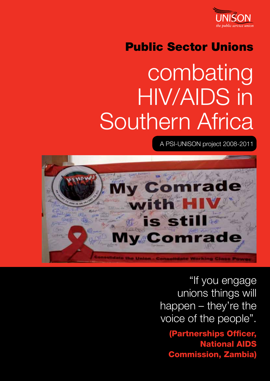

## Public Sector Unions

# combating HIV/AIDS in Southern Africa

A PSI-UNISON project 2008-2011



"If you engage unions things will happen – they're the voice of the people".

(Partnerships Officer, National AIDS Commission, Zambia)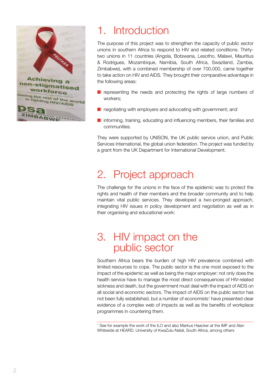

## 1. Introduction

The purpose of this project was to strengthen the capacity of public sector unions in southern Africa to respond to HIV and related conditions. Thirtytwo unions in 11 countries (Angola, Botswana, Lesotho, Malawi, Mauritius & Rodrigues, Mozambique, Namibia, South Africa, Swaziland, Zambia, Zimbabwe), with a combined membership of over 700,000, came together to take action on HIV and AIDS. They brought their comparative advantage in the following areas:

- $\blacksquare$  representing the needs and protecting the rights of large numbers of workers;
- $\blacksquare$  negotiating with employers and advocating with government; and
- $\blacksquare$  informing, training, educating and influencing members, their families and communities.

They were supported by UNISON, the UK public service union, and Public Services International, the global union federation. The project was funded by a grant from the UK Department for International Development.

## 2. Project approach

The challenge for the unions in the face of the epidemic was to protect the rights and health of their members and the broader community and to help maintain vital public services. They developed a two-pronged approach, integrating HIV issues in policy development and negotiation as well as in their organising and educational work:

#### 3. HIV impact on the public sector

Southern Africa bears the burden of high HIV prevalence combined with limited resources to cope. The public sector is the one most exposed to the impact of the epidemic as well as being the major employer: not only does the health service have to manage the most direct consequences of HIV-related sickness and death, but the government must deal with the impact of AIDS on all social and economic sectors. The impact of AIDS on the public sector has not been fully established, but a number of economists<sup>1</sup> have presented clear evidence of a complex web of impacts as well as the benefits of workplace programmes in countering them.

1 See for example the work of the ILO and also Markus Haacker at the IMF and Alan Whiteside at HEARD, University of KwaZulu-Natal, South Africa, among others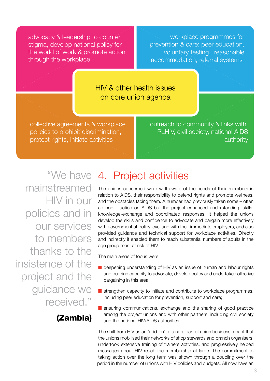advocacy & leadership to counter stigma, develop national policy for the world of work & promote action through the workplace

workplace programmes for prevention & care: peer education, voluntary testing, reasonable accommodation, referral systems

HIV & other health issues on core union agenda

collective agreements & workplace policies to prohibit discrimination, protect rights, initiate activities

outreach to community & links with PLHIV, civil society, national AIDS authority

mainstreamed HIV in our policies and in our services to members thanks to the insistence of the project and the guidance we received."

#### (Zambia)

### "We have 4. Project activities

The unions concerned were well aware of the needs of their members in relation to AIDS, their responsibility to defend rights and promote wellness, and the obstacles facing them. A number had previously taken some – often ad hoc – action on AIDS but the project enhanced understanding, skills, knowledge-exchange and coordinated responses. It helped the unions develop the skills and confidence to advocate and bargain more effectively with government at policy level and with their immediate employers, and also provided guidance and technical support for workplace activities. Directly and indirectly it enabled them to reach substantial numbers of adults in the age group most at risk of HIV.

The main areas of focus were:

- deepening understanding of HIV as an issue of human and labour rights and building capacity to advocate, develop policy and undertake collective bargaining in this area;
- $\blacksquare$  strengthen capacity to initiate and contribute to workplace programmes, including peer education for prevention, support and care;
- $\blacksquare$  ensuring communications, exchange and the sharing of good practice among the project unions and with other partners, including civil society and the national HIV/AIDS authorities.

The shift from HIV as an 'add-on' to a core part of union business meant that the unions mobilised their networks of shop stewards and branch organisers, undertook extensive training of trainers activities, and progressively helped messages about HIV reach the membership at large. The commitment to taking action over the long term was shown through a doubling over the period in the number of unions with HIV policies and budgets. All now have an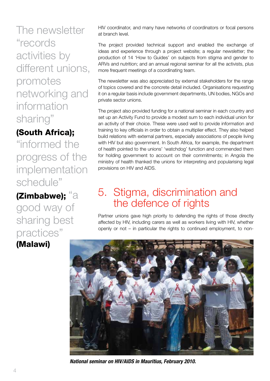The newsletter "records activities by different unions, promotes networking and information sharing"

#### (South Africa);

"informed the progress of the implementation schedule"

(Zimbabwe); "a good way of sharing best practices" (Malawi)

HIV coordinator, and many have networks of coordinators or focal persons at branch level.

The project provided technical support and enabled the exchange of ideas and experience through a project website; a regular newsletter; the production of 14 'How to Guides' on subjects from stigma and gender to ARVs and nutrition; and an annual regional seminar for all the activists, plus more frequent meetings of a coordinating team.

The newsletter was also appreciated by external stakeholders for the range of topics covered and the concrete detail included. Organisations requesting it on a regular basis include government departments, UN bodies, NGOs and private sector unions.

The project also provided funding for a national seminar in each country and set up an Activity Fund to provide a modest sum to each individual union for an activity of their choice. These were used well to provide information and training to key officials in order to obtain a multiplier effect. They also helped build relations with external partners, especially associations of people living with HIV but also government. In South Africa, for example, the department of health pointed to the unions' 'watchdog' function and commended them for holding government to account on their commitments; in Angola the ministry of health thanked the unions for interpreting and popularising legal provisions on HIV and AIDS.

### 5. Stigma, discrimination and the defence of rights

Partner unions gave high priority to defending the rights of those directly affected by HIV, including carers as well as workers living with HIV, whether openly or not – in particular the rights to continued employment, to non-



*National seminar on HIV/AIDS in Mauritius, February 2010.*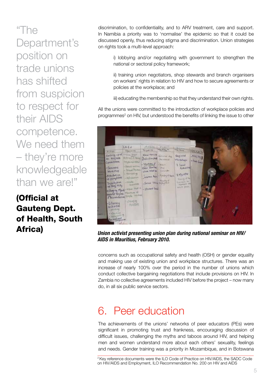"The Department's position on trade unions has shifted from suspicion to respect for their AIDS competence. We need them – they're more knowledgeable than we are!"

(Official at Gauteng Dept. of Health, South discrimination, to confidentiality, and to ARV treatment, care and support. In Namibia a priority was to 'normalise' the epidemic so that it could be discussed openly, thus reducing stigma and discrimination. Union strategies on rights took a multi-level approach:

i) lobbying and/or negotiating with government to strengthen the national or sectoral policy framework;

ii) training union negotiators, shop stewards and branch organisers on workers' rights in relation to HIV and how to secure agreements or policies at the workplace; and

iii) educating the membership so that they understand their own rights.

All the unions were committed to the introduction of workplace policies and programmes<sup>2</sup> on HIV, but understood the benefits of linking the issue to other



Africa) *Union activist presenting union plan during national seminar on HIV/ AIDS in Mauritius, February 2010.*

concerns such as occupational safety and health (OSH) or gender equality and making use of existing union and workplace structures. There was an increase of nearly 100% over the period in the number of unions which conduct collective bargaining negotiations that include provisions on HIV. In Zambia no collective agreements included HIV before the project – now many do, in all six public service sectors.

## 6. Peer education

The achievements of the unions' networks of peer educators (PEs) were significant in promoting trust and frankness, encouraging discussion of difficult issues, challenging the myths and taboos around HIV, and helping men and women understand more about each others' sexuality, feelings and needs. Gender training was a priority in Mozambique, and in Botswana

<sup>&</sup>lt;sup>2</sup> Key reference documents were the ILO Code of Practice on HIV/AIDS, the SADC Code on HIV/AIDS and Employment, ILO Recommendation No. 200 on HIV and AIDS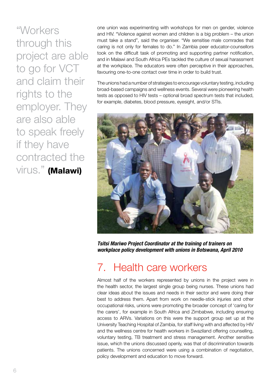"Workers through this project are able to go for VCT and claim their rights to the employer. They are also able to speak freely if they have contracted the virus." (Malawi)

one union was experimenting with workshops for men on gender, violence and HIV. "Violence against women and children is a big problem – the union must take a stand", said the organiser. "We sensitise male comrades that caring is not only for females to do." In Zambia peer educator-counsellors took on the difficult task of promoting and supporting partner notification, and in Malawi and South Africa PEs tackled the culture of sexual harassment at the workplace. The educators were often perceptive in their approaches, favouring one-to-one contact over time in order to build trust.

The unions had a number of strategies to encourage voluntary testing, including broad-based campaigns and wellness events. Several were pioneering health tests as opposed to HIV tests – optional broad spectrum tests that included, for example, diabetes, blood pressure, eyesight, and/or STIs.



*Tsitsi Mariwo Project Coordinator at the training of trainers on workplace policy development with unions in Botswana, April 2010*

#### 7. Health care workers

Almost half of the workers represented by unions in the project were in the health sector, the largest single group being nurses. These unions had clear ideas about the issues and needs in their sector and were doing their best to address them. Apart from work on needle-stick injuries and other occupational risks, unions were promoting the broader concept of 'caring for the carers', for example in South Africa and Zimbabwe, including ensuring access to ARVs. Variations on this were the support group set up at the University Teaching Hospital of Zambia, for staff living with and affected by HIV and the wellness centre for health workers in Swaziland offering counselling, voluntary testing, TB treatment and stress management. Another sensitive issue, which the unions discussed openly, was that of discrimination towards patients. The unions concerned were using a combination of negotiation, policy development and education to move forward.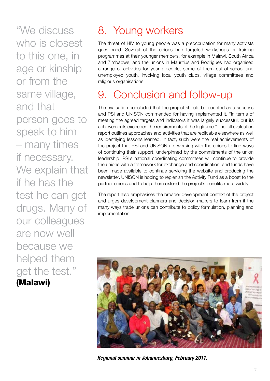"We discuss who is closest to this one, in age or kinship or from the same village, and that person goes to speak to him – many times if necessary. We explain that if he has the test he can get drugs. Many of our colleagues are now well because we helped them get the test." (Malawi)

## 8. Young workers

The threat of HIV to young people was a preoccupation for many activists questioned. Several of the unions had targeted workshops or training programmes at their younger members, for example in Malawi, South Africa and Zimbabwe, and the unions in Mauritius and Rodrigues had organised a range of activities for young people, some of them out-of-school and unemployed youth, involving local youth clubs, village committees and religious organisations.

## 9. Conclusion and follow-up

The evaluation concluded that the project should be counted as a success and PSI and UNISON commended for having implemented it. "In terms of meeting the agreed targets and indicators it was largely successful, but its achievements exceeded the requirements of the logframe." The full evaluation report outlines approaches and activities that are replicable elsewhere as well as identifying lessons learned. In fact, such were the real achievements of the project that PSI and UNISON are working with the unions to find ways of continuing their support, underpinned by the commitments of the union leadership. PSI's national coordinating committees will continue to provide the unions with a framework for exchange and coordination, and funds have been made available to continue servicing the website and producing the newsletter. UNISON is hoping to replenish the Activity Fund as a boost to the partner unions and to help them extend the project's benefits more widely.

The report also emphasises the broader development context of the project and urges development planners and decision-makers to learn from it the many ways trade unions can contribute to policy formulation, planning and implementation:



*Regional seminar in Johannesburg, February 2011.*